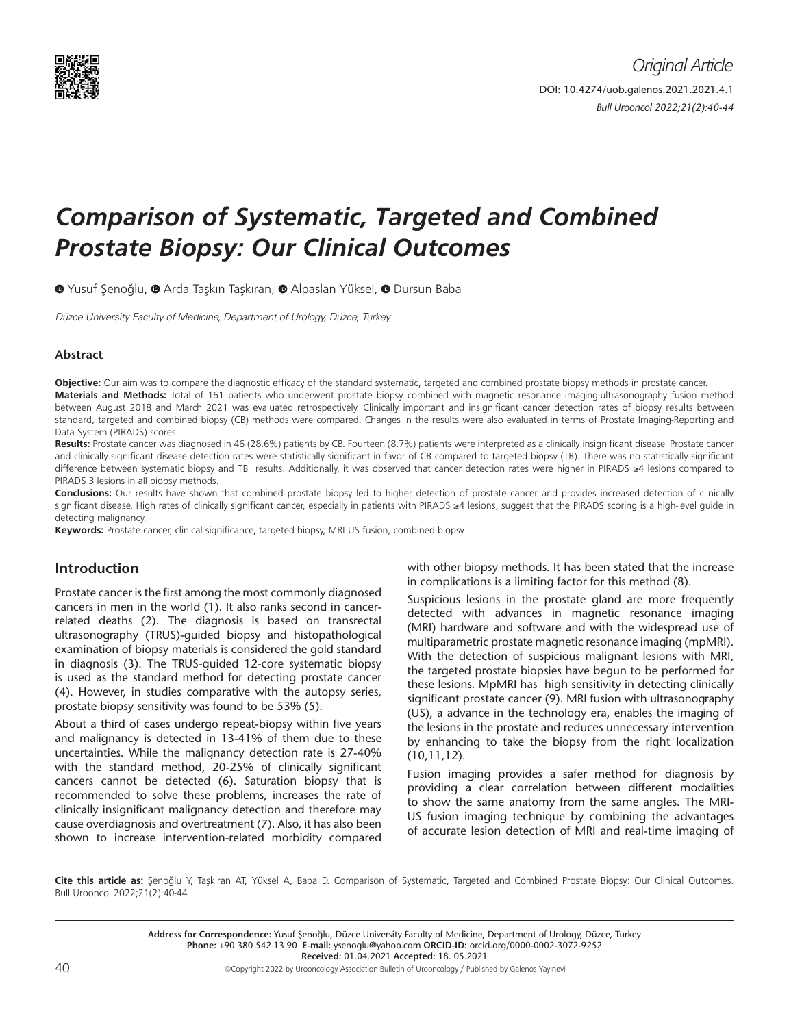

# *Comparison of Systematic, Targeted and Combined Prostate Biopsy: Our Clinical Outcomes*

<sup>O</sup>Yusuf Şenoğlu, <sup>O</sup> Arda Taşkın Taşkıran, <sup>O</sup> Alpaslan Yüksel, <sup>O</sup> Dursun Baba

Düzce University Faculty of Medicine, Department of Urology, Düzce, Turkey

## **Abstract**

**Objective:** Our aim was to compare the diagnostic efficacy of the standard systematic, targeted and combined prostate biopsy methods in prostate cancer. **Materials and Methods:** Total of 161 patients who underwent prostate biopsy combined with magnetic resonance imaging-ultrasonography fusion method between August 2018 and March 2021 was evaluated retrospectively. Clinically important and insignificant cancer detection rates of biopsy results between standard, targeted and combined biopsy (CB) methods were compared. Changes in the results were also evaluated in terms of Prostate Imaging-Reporting and Data System (PIRADS) scores.

**Results:** Prostate cancer was diagnosed in 46 (28.6%) patients by CB. Fourteen (8.7%) patients were interpreted as a clinically insignificant disease. Prostate cancer and clinically significant disease detection rates were statistically significant in favor of CB compared to targeted biopsy (TB). There was no statistically significant difference between systematic biopsy and TB results. Additionally, it was observed that cancer detection rates were higher in PIRADS ≥4 lesions compared to PIRADS 3 lesions in all biopsy methods.

**Conclusions:** Our results have shown that combined prostate biopsy led to higher detection of prostate cancer and provides increased detection of clinically significant disease. High rates of clinically significant cancer, especially in patients with PIRADS ≥4 lesions, suggest that the PIRADS scoring is a high-level guide in detecting malignancy.

**Keywords:** Prostate cancer, clinical significance, targeted biopsy, MRI US fusion, combined biopsy

## **Introduction**

Prostate cancer is the first among the most commonly diagnosed cancers in men in the world (1). It also ranks second in cancerrelated deaths (2). The diagnosis is based on transrectal ultrasonography (TRUS)-guided biopsy and histopathological examination of biopsy materials is considered the gold standard in diagnosis (3). The TRUS-guided 12-core systematic biopsy is used as the standard method for detecting prostate cancer (4). However, in studies comparative with the autopsy series, prostate biopsy sensitivity was found to be 53% (5).

About a third of cases undergo repeat-biopsy within five years and malignancy is detected in 13-41% of them due to these uncertainties. While the malignancy detection rate is 27-40% with the standard method, 20-25% of clinically significant cancers cannot be detected (6). Saturation biopsy that is recommended to solve these problems, increases the rate of clinically insignificant malignancy detection and therefore may cause overdiagnosis and overtreatment (7). Also, it has also been shown to increase intervention-related morbidity compared

with other biopsy methods. It has been stated that the increase in complications is a limiting factor for this method (8).

Suspicious lesions in the prostate gland are more frequently detected with advances in magnetic resonance imaging (MRI) hardware and software and with the widespread use of multiparametric prostate magnetic resonance imaging (mpMRI). With the detection of suspicious malignant lesions with MRI, the targeted prostate biopsies have begun to be performed for these lesions. MpMRI has high sensitivity in detecting clinically significant prostate cancer (9). MRI fusion with ultrasonography (US), a advance in the technology era, enables the imaging of the lesions in the prostate and reduces unnecessary intervention by enhancing to take the biopsy from the right localization (10,11,12).

Fusion imaging provides a safer method for diagnosis by providing a clear correlation between different modalities to show the same anatomy from the same angles. The MRI-US fusion imaging technique by combining the advantages of accurate lesion detection of MRI and real-time imaging of

**Cite this article as:** Şenoğlu Y, Taşkıran AT, Yüksel A, Baba D. Comparison of Systematic, Targeted and Combined Prostate Biopsy: Our Clinical Outcomes. Bull Urooncol 2022;21(2):40-44

> **Address for Correspondence:** Yusuf Şenoğlu, Düzce University Faculty of Medicine, Department of Urology, Düzce, Turkey **Phone:** +90 380 542 13 90 **E-mail:** ysenoglu@yahoo.com **ORCID-ID:** orcid.org/0000-0002-3072-9252 **Received:** 01.04.2021 **Accepted:** 18. 05.2021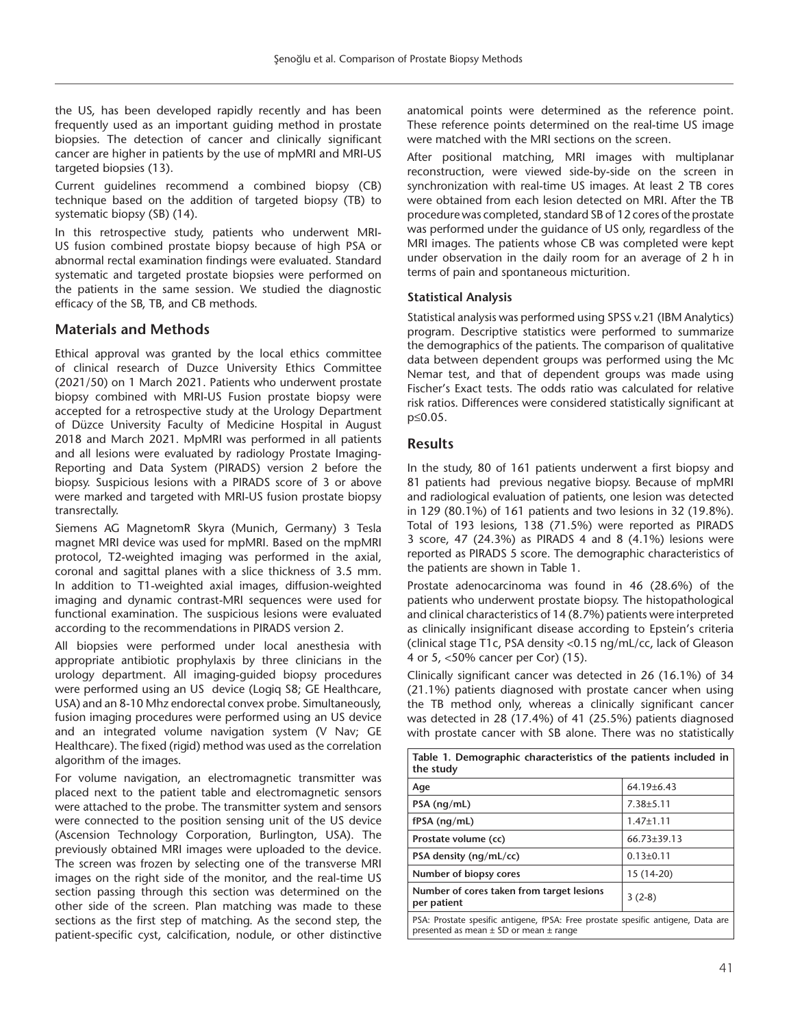the US, has been developed rapidly recently and has been frequently used as an important guiding method in prostate biopsies. The detection of cancer and clinically significant cancer are higher in patients by the use of mpMRI and MRI-US targeted biopsies (13).

Current guidelines recommend a combined biopsy (CB) technique based on the addition of targeted biopsy (TB) to systematic biopsy (SB) (14).

In this retrospective study, patients who underwent MRI-US fusion combined prostate biopsy because of high PSA or abnormal rectal examination findings were evaluated. Standard systematic and targeted prostate biopsies were performed on the patients in the same session. We studied the diagnostic efficacy of the SB, TB, and CB methods.

# **Materials and Methods**

Ethical approval was granted by the local ethics committee of clinical research of Duzce University Ethics Committee (2021/50) on 1 March 2021. Patients who underwent prostate biopsy combined with MRI-US Fusion prostate biopsy were accepted for a retrospective study at the Urology Department of Düzce University Faculty of Medicine Hospital in August 2018 and March 2021. MpMRI was performed in all patients and all lesions were evaluated by radiology Prostate Imaging-Reporting and Data System (PIRADS) version 2 before the biopsy. Suspicious lesions with a PIRADS score of 3 or above were marked and targeted with MRI-US fusion prostate biopsy transrectally.

Siemens AG MagnetomR Skyra (Munich, Germany) 3 Tesla magnet MRI device was used for mpMRI. Based on the mpMRI protocol, T2-weighted imaging was performed in the axial, coronal and sagittal planes with a slice thickness of 3.5 mm. In addition to T1-weighted axial images, diffusion-weighted imaging and dynamic contrast-MRI sequences were used for functional examination. The suspicious lesions were evaluated according to the recommendations in PIRADS version 2.

All biopsies were performed under local anesthesia with appropriate antibiotic prophylaxis by three clinicians in the urology department. All imaging-guided biopsy procedures were performed using an US device (Logiq S8; GE Healthcare, USA) and an 8-10 Mhz endorectal convex probe. Simultaneously, fusion imaging procedures were performed using an US device and an integrated volume navigation system (V Nav; GE Healthcare). The fixed (rigid) method was used as the correlation algorithm of the images.

For volume navigation, an electromagnetic transmitter was placed next to the patient table and electromagnetic sensors were attached to the probe. The transmitter system and sensors were connected to the position sensing unit of the US device (Ascension Technology Corporation, Burlington, USA). The previously obtained MRI images were uploaded to the device. The screen was frozen by selecting one of the transverse MRI images on the right side of the monitor, and the real-time US section passing through this section was determined on the other side of the screen. Plan matching was made to these sections as the first step of matching. As the second step, the patient-specific cyst, calcification, nodule, or other distinctive anatomical points were determined as the reference point. These reference points determined on the real-time US image were matched with the MRI sections on the screen.

After positional matching, MRI images with multiplanar reconstruction, were viewed side-by-side on the screen in synchronization with real-time US images. At least 2 TB cores were obtained from each lesion detected on MRI. After the TB procedure was completed, standard SB of 12 cores of the prostate was performed under the guidance of US only, regardless of the MRI images. The patients whose CB was completed were kept under observation in the daily room for an average of 2 h in terms of pain and spontaneous micturition.

## **Statistical Analysis**

Statistical analysis was performed using SPSS v.21 (IBM Analytics) program. Descriptive statistics were performed to summarize the demographics of the patients. The comparison of qualitative data between dependent groups was performed using the Mc Nemar test, and that of dependent groups was made using Fischer's Exact tests. The odds ratio was calculated for relative risk ratios. Differences were considered statistically significant at p≤0.05.

## **Results**

In the study, 80 of 161 patients underwent a first biopsy and 81 patients had previous negative biopsy. Because of mpMRI and radiological evaluation of patients, one lesion was detected in 129 (80.1%) of 161 patients and two lesions in 32 (19.8%). Total of 193 lesions, 138 (71.5%) were reported as PIRADS 3 score, 47 (24.3%) as PIRADS 4 and 8 (4.1%) lesions were reported as PIRADS 5 score. The demographic characteristics of the patients are shown in Table 1.

Prostate adenocarcinoma was found in 46 (28.6%) of the patients who underwent prostate biopsy. The histopathological and clinical characteristics of 14 (8.7%) patients were interpreted as clinically insignificant disease according to Epstein's criteria (clinical stage T1c, PSA density <0.15 ng/mL/cc, lack of Gleason 4 or 5, <50% cancer per Cor) (15).

Clinically significant cancer was detected in 26 (16.1%) of 34 (21.1%) patients diagnosed with prostate cancer when using the TB method only, whereas a clinically significant cancer was detected in 28 (17.4%) of 41 (25.5%) patients diagnosed with prostate cancer with SB alone. There was no statistically

| Table 1. Demographic characteristics of the patients included in<br>the study                                                      |                   |  |  |  |
|------------------------------------------------------------------------------------------------------------------------------------|-------------------|--|--|--|
| Age                                                                                                                                | $64.19+6.43$      |  |  |  |
| $PSA$ (ng/mL)                                                                                                                      | $7.38 + 5.11$     |  |  |  |
| $fPSA$ (ng/mL)                                                                                                                     | $1.47 \pm 1.11$   |  |  |  |
| Prostate volume (cc)                                                                                                               | $66.73 \pm 39.13$ |  |  |  |
| PSA density $(nq/mL/cc)$                                                                                                           | $0.13 \pm 0.11$   |  |  |  |
| Number of biopsy cores                                                                                                             | 15 (14-20)        |  |  |  |
| Number of cores taken from target lesions<br>per patient                                                                           | $3(2-8)$          |  |  |  |
| PSA: Prostate spesific antigene, fPSA: Free prostate spesific antigene, Data are<br>presented as mean $\pm$ SD or mean $\pm$ range |                   |  |  |  |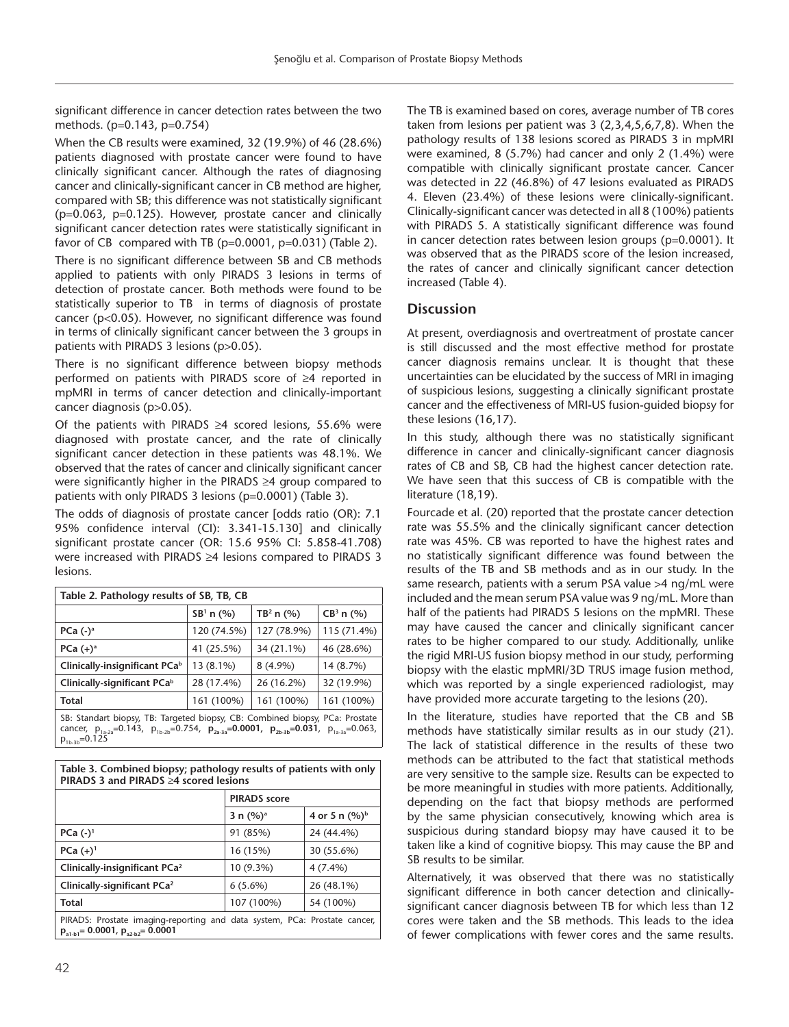significant difference in cancer detection rates between the two methods. (p=0.143, p=0.754)

When the CB results were examined, 32 (19.9%) of 46 (28.6%) patients diagnosed with prostate cancer were found to have clinically significant cancer. Although the rates of diagnosing cancer and clinically-significant cancer in CB method are higher, compared with SB; this difference was not statistically significant (p=0.063, p=0.125). However, prostate cancer and clinically significant cancer detection rates were statistically significant in favor of CB compared with TB  $(p=0.0001, p=0.031)$  (Table 2).

There is no significant difference between SB and CB methods applied to patients with only PIRADS 3 lesions in terms of detection of prostate cancer. Both methods were found to be statistically superior to TB in terms of diagnosis of prostate cancer (p<0.05). However, no significant difference was found in terms of clinically significant cancer between the 3 groups in patients with PIRADS 3 lesions (p>0.05).

There is no significant difference between biopsy methods performed on patients with PIRADS score of ≥4 reported in mpMRI in terms of cancer detection and clinically-important cancer diagnosis (p>0.05).

Of the patients with PIRADS  $\geq 4$  scored lesions, 55.6% were diagnosed with prostate cancer, and the rate of clinically significant cancer detection in these patients was 48.1%. We observed that the rates of cancer and clinically significant cancer were significantly higher in the PIRADS ≥4 group compared to patients with only PIRADS 3 lesions (p=0.0001) (Table 3).

The odds of diagnosis of prostate cancer [odds ratio (OR): 7.1 95% confidence interval (CI): 3.341-15.130] and clinically significant prostate cancer (OR: 15.6 95% CI: 5.858-41.708) were increased with PIRADS ≥4 lesions compared to PIRADS 3 lesions.

| Table 2. Pathology results of SB, TB, CB                                                                                                                                                                                      |             |                       |                |  |  |  |
|-------------------------------------------------------------------------------------------------------------------------------------------------------------------------------------------------------------------------------|-------------|-----------------------|----------------|--|--|--|
|                                                                                                                                                                                                                               | $SB1$ n (%) | TB <sup>2</sup> n (%) | $CB^3$ n $(%)$ |  |  |  |
| PCa $(-)$ <sup>a</sup>                                                                                                                                                                                                        | 120 (74.5%) | 127 (78.9%)           | 115 (71.4%)    |  |  |  |
| PCa $(+)^a$                                                                                                                                                                                                                   | 41 (25.5%)  | 34 (21.1%)            | 46 (28.6%)     |  |  |  |
| Clinically-insignificant PCa <sup>b</sup>                                                                                                                                                                                     | 13 (8.1%)   | $8(4.9\%)$            | 14 (8.7%)      |  |  |  |
| Clinically-significant PCab                                                                                                                                                                                                   | 28 (17.4%)  | 26 (16.2%)            | 32 (19.9%)     |  |  |  |
| Total                                                                                                                                                                                                                         | 161 (100%)  | 161 (100%)            | 161 (100%)     |  |  |  |
| SB: Standart biopsy, TB: Targeted biopsy, CB: Combined biopsy, PCa: Prostate<br>cancer, $p_{1a-2a} = 0.143$ , $p_{1b-2b} = 0.754$ , $p_{2a-3a} = 0.0001$ , $p_{2b-3b} = 0.031$ , $p_{1a-3a} = 0.063$ ,<br>$p_{1b-3b} = 0.125$ |             |                       |                |  |  |  |

| Table 3. Combined biopsy; pathology results of patients with only<br><b>PIRADS 3 and PIRADS <math>\geq 4</math> scored lesions</b> |                     |                  |  |  |  |
|------------------------------------------------------------------------------------------------------------------------------------|---------------------|------------------|--|--|--|
|                                                                                                                                    | <b>PIRADS</b> score |                  |  |  |  |
|                                                                                                                                    | 3 n $(\%)^a$        | 4 or 5 n $(%)^b$ |  |  |  |
| $PCa (-)^1$                                                                                                                        | 91 (85%)            | 24 (44.4%)       |  |  |  |
| $PCa (+)^1$                                                                                                                        | 16 (15%)            | 30 (55.6%)       |  |  |  |
| Clinically-insignificant PCa <sup>2</sup>                                                                                          | 10 (9.3%)           | $4(7.4\%)$       |  |  |  |
| Clinically-significant PCa <sup>2</sup>                                                                                            | $6(5.6\%)$          | 26 (48.1%)       |  |  |  |
| <b>Total</b>                                                                                                                       | 107 (100%)          | 54 (100%)        |  |  |  |
| PIRADS: Prostate imaging-reporting and data system, PCa: Prostate cancer,<br>$p_{a1-b1} = 0.0001$ , $p_{a2-b2} = 0.0001$           |                     |                  |  |  |  |

The TB is examined based on cores, average number of TB cores taken from lesions per patient was 3 (2,3,4,5,6,7,8). When the pathology results of 138 lesions scored as PIRADS 3 in mpMRI were examined, 8 (5.7%) had cancer and only 2 (1.4%) were compatible with clinically significant prostate cancer. Cancer was detected in 22 (46.8%) of 47 lesions evaluated as PIRADS 4. Eleven (23.4%) of these lesions were clinically-significant. Clinically-significant cancer was detected in all 8 (100%) patients with PIRADS 5. A statistically significant difference was found in cancer detection rates between lesion groups (p=0.0001). It was observed that as the PIRADS score of the lesion increased, the rates of cancer and clinically significant cancer detection increased (Table 4).

# **Discussion**

At present, overdiagnosis and overtreatment of prostate cancer is still discussed and the most effective method for prostate cancer diagnosis remains unclear. It is thought that these uncertainties can be elucidated by the success of MRI in imaging of suspicious lesions, suggesting a clinically significant prostate cancer and the effectiveness of MRI-US fusion-guided biopsy for these lesions (16,17).

In this study, although there was no statistically significant difference in cancer and clinically-significant cancer diagnosis rates of CB and SB, CB had the highest cancer detection rate. We have seen that this success of CB is compatible with the literature (18,19).

Fourcade et al. (20) reported that the prostate cancer detection rate was 55.5% and the clinically significant cancer detection rate was 45%. CB was reported to have the highest rates and no statistically significant difference was found between the results of the TB and SB methods and as in our study. In the same research, patients with a serum PSA value > 4 ng/mL were included and the mean serum PSA value was 9 ng/mL. More than half of the patients had PIRADS 5 lesions on the mpMRI. These may have caused the cancer and clinically significant cancer rates to be higher compared to our study. Additionally, unlike the rigid MRI-US fusion biopsy method in our study, performing biopsy with the elastic mpMRI/3D TRUS image fusion method, which was reported by a single experienced radiologist, may have provided more accurate targeting to the lesions (20).

In the literature, studies have reported that the CB and SB methods have statistically similar results as in our study (21). The lack of statistical difference in the results of these two methods can be attributed to the fact that statistical methods are very sensitive to the sample size. Results can be expected to be more meaningful in studies with more patients. Additionally, depending on the fact that biopsy methods are performed by the same physician consecutively, knowing which area is suspicious during standard biopsy may have caused it to be taken like a kind of cognitive biopsy. This may cause the BP and SB results to be similar.

Alternatively, it was observed that there was no statistically significant difference in both cancer detection and clinicallysignificant cancer diagnosis between TB for which less than 12 cores were taken and the SB methods. This leads to the idea of fewer complications with fewer cores and the same results.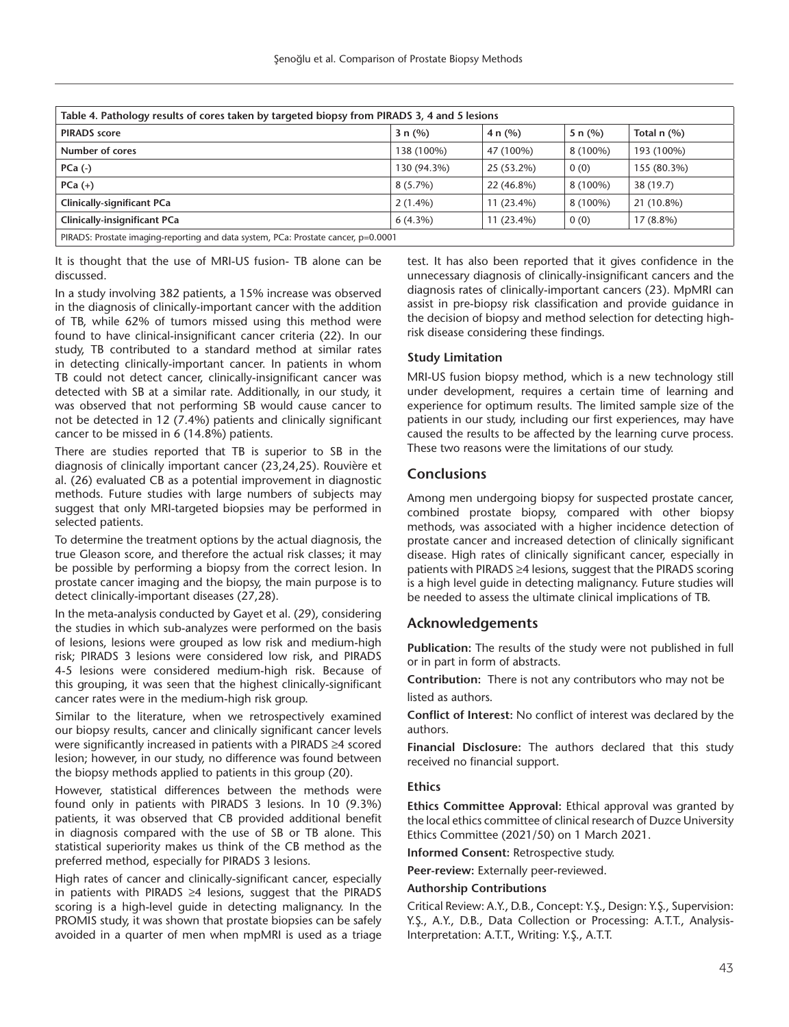| Table 4. Pathology results of cores taken by targeted biopsy from PIRADS 3, 4 and 5 lesions |             |              |             |                  |  |  |
|---------------------------------------------------------------------------------------------|-------------|--------------|-------------|------------------|--|--|
| <b>PIRADS</b> score                                                                         | 3 n $(%)$   | 4 n $(%)$    | 5 n $(\% )$ | Total $n$ $(\%)$ |  |  |
| Number of cores                                                                             | 138 (100%)  | 47 (100%)    | 8 (100%)    | 193 (100%)       |  |  |
| $PCa (-)$                                                                                   | 130 (94.3%) | 25 (53.2%)   | 0(0)        | 155 (80.3%)      |  |  |
| $PCa (+)$                                                                                   | $8(5.7\%)$  | 22 (46.8%)   | 8 (100%)    | 38 (19.7)        |  |  |
| <b>Clinically-significant PCa</b>                                                           | $2(1.4\%)$  | $11(23.4\%)$ | 8 (100%)    | 21 (10.8%)       |  |  |
| <b>Clinically-insignificant PCa</b>                                                         | $6(4.3\%)$  | $11(23.4\%)$ | 0(0)        | $17(8.8\%)$      |  |  |
| PIRADS: Prostate imaging-reporting and data system, PCa: Prostate cancer, p=0.0001          |             |              |             |                  |  |  |

It is thought that the use of MRI-US fusion- TB alone can be discussed.

In a study involving 382 patients, a 15% increase was observed in the diagnosis of clinically-important cancer with the addition of TB, while 62% of tumors missed using this method were found to have clinical-insignificant cancer criteria (22). In our study, TB contributed to a standard method at similar rates in detecting clinically-important cancer. In patients in whom TB could not detect cancer, clinically-insignificant cancer was detected with SB at a similar rate. Additionally, in our study, it was observed that not performing SB would cause cancer to not be detected in 12 (7.4%) patients and clinically significant cancer to be missed in 6 (14.8%) patients.

There are studies reported that TB is superior to SB in the diagnosis of clinically important cancer (23,24,25). Rouvière et al. (26) evaluated CB as a potential improvement in diagnostic methods. Future studies with large numbers of subjects may suggest that only MRI-targeted biopsies may be performed in selected patients.

To determine the treatment options by the actual diagnosis, the true Gleason score, and therefore the actual risk classes; it may be possible by performing a biopsy from the correct lesion. In prostate cancer imaging and the biopsy, the main purpose is to detect clinically-important diseases (27,28).

In the meta-analysis conducted by Gayet et al. (29), considering the studies in which sub-analyzes were performed on the basis of lesions, lesions were grouped as low risk and medium-high risk; PIRADS 3 lesions were considered low risk, and PIRADS 4-5 lesions were considered medium-high risk. Because of this grouping, it was seen that the highest clinically-significant cancer rates were in the medium-high risk group.

Similar to the literature, when we retrospectively examined our biopsy results, cancer and clinically significant cancer levels were significantly increased in patients with a PIRADS ≥4 scored lesion; however, in our study, no difference was found between the biopsy methods applied to patients in this group (20).

However, statistical differences between the methods were found only in patients with PIRADS 3 lesions. In 10 (9.3%) patients, it was observed that CB provided additional benefit in diagnosis compared with the use of SB or TB alone. This statistical superiority makes us think of the CB method as the preferred method, especially for PIRADS 3 lesions.

High rates of cancer and clinically-significant cancer, especially in patients with PIRADS ≥4 lesions, suggest that the PIRADS scoring is a high-level guide in detecting malignancy. In the PROMIS study, it was shown that prostate biopsies can be safely avoided in a quarter of men when mpMRI is used as a triage test. It has also been reported that it gives confidence in the unnecessary diagnosis of clinically-insignificant cancers and the diagnosis rates of clinically-important cancers (23). MpMRI can assist in pre-biopsy risk classification and provide guidance in the decision of biopsy and method selection for detecting highrisk disease considering these findings.

#### **Study Limitation**

MRI-US fusion biopsy method, which is a new technology still under development, requires a certain time of learning and experience for optimum results. The limited sample size of the patients in our study, including our first experiences, may have caused the results to be affected by the learning curve process. These two reasons were the limitations of our study.

## **Conclusions**

Among men undergoing biopsy for suspected prostate cancer, combined prostate biopsy, compared with other biopsy methods, was associated with a higher incidence detection of prostate cancer and increased detection of clinically significant disease. High rates of clinically significant cancer, especially in patients with PIRADS ≥4 lesions, suggest that the PIRADS scoring is a high level guide in detecting malignancy. Future studies will be needed to assess the ultimate clinical implications of TB.

## **Acknowledgements**

**Publication:** The results of the study were not published in full or in part in form of abstracts.

**Contribution:** There is not any contributors who may not be

listed as authors.

**Conflict of Interest:** No conflict of interest was declared by the authors.

**Financial Disclosure:** The authors declared that this study received no financial support.

#### **Ethics**

**Ethics Committee Approval:** Ethical approval was granted by the local ethics committee of clinical research of Duzce University Ethics Committee (2021/50) on 1 March 2021.

**Informed Consent:** Retrospective study.

**Peer-review:** Externally peer-reviewed.

#### **Authorship Contributions**

Critical Review: A.Y., D.B., Concept: Y.Ş., Design: Y.Ş., Supervision: Y.Ş., A.Y., D.B., Data Collection or Processing: A.T.T., Analysis-Interpretation: A.T.T., Writing: Y.Ş., A.T.T.